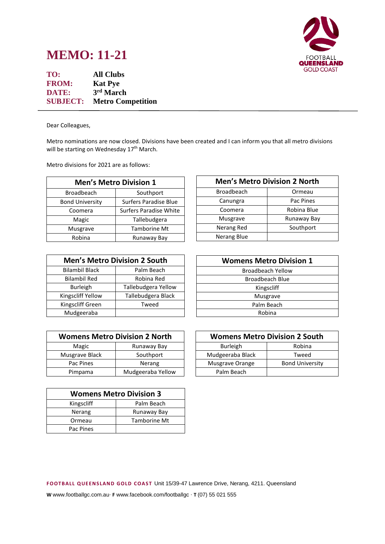## **FOOTBALL** QUEENSLAND **GOLD COAST**

## **MEMO: 11-21**

**TO: All Clubs FROM: Kat Pye DATE: 3 rd March SUBJECT: Metro Competition** 

Dear Colleagues,

Metro nominations are now closed. Divisions have been created and I can inform you that all metro divisions will be starting on Wednesday 17<sup>th</sup> March.

Metro divisions for 2021 are as follows:

| <b>Men's Metro Division 1</b> |                               |  |
|-------------------------------|-------------------------------|--|
| <b>Broadbeach</b>             | Southport                     |  |
| <b>Bond University</b>        | <b>Surfers Paradise Blue</b>  |  |
| Coomera                       | <b>Surfers Paradise White</b> |  |
| Magic                         | Tallebudgera                  |  |
| Musgrave                      | <b>Tamborine Mt</b>           |  |
| Robina                        | Runaway Bay                   |  |

| <b>Men's Metro Division 2 South</b> |                     |  |
|-------------------------------------|---------------------|--|
| <b>Bilambil Black</b>               | Palm Beach          |  |
| <b>Bilambil Red</b>                 | Robina Red          |  |
| <b>Burleigh</b>                     | Tallebudgera Yellow |  |
| Kingscliff Yellow                   | Tallebudgera Black  |  |
| Kingscliff Green                    | Tweed               |  |
| Mudgeeraba                          |                     |  |

| <b>Womens Metro Division 2 North</b> |                   |
|--------------------------------------|-------------------|
| Magic                                | Runaway Bay       |
| Musgrave Black                       | Southport         |
| Pac Pines                            | Nerang            |
| Pimpama                              | Mudgeeraba Yellow |

| <b>Womens Metro Division 3</b> |              |  |
|--------------------------------|--------------|--|
| Kingscliff                     | Palm Beach   |  |
| Nerang                         | Runaway Bay  |  |
| Ormeau                         | Tamborine Mt |  |
| Pac Pines                      |              |  |

| <b>Men's Metro Division 2 North</b> |             |
|-------------------------------------|-------------|
| Broadbeach                          | Ormeau      |
| Canungra                            | Pac Pines   |
| Coomera                             | Robina Blue |
| Musgrave                            | Runaway Bay |
| Nerang Red                          | Southport   |
| Nerang Blue                         |             |
|                                     |             |

| <b>Womens Metro Division 1</b> |  |  |
|--------------------------------|--|--|
| Broadbeach Yellow              |  |  |
| <b>Broadbeach Blue</b>         |  |  |
| Kingscliff                     |  |  |
| Musgrave                       |  |  |
| Palm Beach                     |  |  |
| Robina                         |  |  |

| <b>Womens Metro Division 2 South</b> |                        |
|--------------------------------------|------------------------|
| <b>Burleigh</b>                      | Robina                 |
| Mudgeeraba Black                     | Tweed                  |
| Musgrave Orange                      | <b>Bond University</b> |
| Palm Beach                           |                        |

**F OOTB ALL Q UE EN S LAN D GOLD C OAS T** Unit 15/39-47 Lawrence Drive, Nerang, 4211. Queensland

**W** www.footballgc.com.au. **F** www.facebook.com/footballgc . **T** (07) 55 021 555